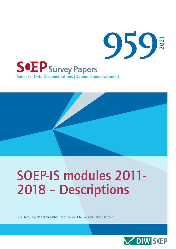

# SOEP-IS modules 2011- 2018 – Descriptions

Selin Kara, Leopold Lautenbacher, Levent Neyse, Uta Rahmann, David Richter

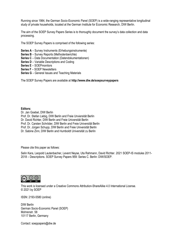Running since 1984, the German Socio-Economic Panel (SOEP) is a wide-ranging representative longitudinal study of private households, located at the German Institute for Economic Research, DIW Berlin.

The aim of the SOEP Survey Papers Series is to thoroughly document the survey's data collection and data processing.

The SOEP Survey Papers is comprised of the following series:

- **Series A** Survey Instruments (Erhebungsinstrumente)
- **Series B** Survey Reports (Methodenberichte)
- **Series C** Data Documentation (Datendokumentationen)
- **Series D** Variable Descriptions and Coding
- **Series E** SOEPmonitors
- **Series F** SOEP Newsletters
- **Series G** General Issues and Teaching Materials

The SOEP Survey Papers are available at **http://www.diw.de/soepsurveypapers**

#### **Editors:**

Dr. Jan Goebel, DIW Berlin Prof. Dr. Stefan Liebig, DIW Berlin and Freie Unviersität Berlin Dr. David Richter, DIW Berlin and Freie Universität Berlin Prof. Dr. Carsten Schröder, DIW Berlin and Freie Universität Berlin Prof. Dr. Jürgen Schupp, DIW Berlin and Freie Universität Berlin Dr. Sabine Zinn, DIW Berlin and Humboldt Universität zu Berlin

Please cite this paper as follows:

Selin Kara, Leopold Lautenbacher, Levent Neyse, Uta Rahmann, David Richter. 2021 SOEP-IS modules 2011- 2018 – Descriptions. SOEP Survey Papers 959: Series C. Berlin: DIW/SOEP.



This work is licensed under [a Creative Commons Attribution-ShareAlike](http://creativecommons.org/licenses/by-sa/4.0/) 4.0 International License. © 2021 by SOEP

ISSN: 2193-5580 (online)

DIW Berlin German Socio-Economic Panel (SOEP) Mohrenstr. 58 10117 Berlin, Germany

Contact: [soeppapers@diw.de](mailto:soeppapers@diw.de)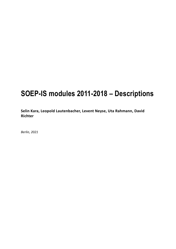## **SOEP-IS modules 2011-2018 – Descriptions**

**Selin Kara, Leopold Lautenbacher, Levent Neyse, Uta Rahmann, David Richter**

*Berlin, 2021*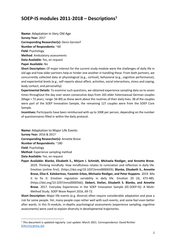### **SOEP-IS modules 2011-2018 – Descriptions<sup>1</sup>**

**Name:** Adaptation in Very Old Age **Survey Year:** 2017 **Corresponding Researcher(s):** Denis Gerstorf **Number of Respondents:** ~60 **Field:** Psychology **Method**: Ambulatory assessments **Data Available:** Yes, on request **Paper Available:** No

**Short Description:** Of major interest for the current study module were the challenges of daily life in old age and how older partners help or hinder one another in handling these. From both partners, we concurrently collected data at physiological (e.g., cortisol), behavioral (e.g., cognitive performance), and experiential levels (e.g., self-reports about affect, activities, social interactions, stress and coping, body contact, and personality).

**Experimental Details:** To examine such questions, we obtained experience sampling data six to seven times throughout the day over seven consecutive days from 165 older heterosexual German couples (Mage = 72 years, range: 56-89) as these went about the routines of their daily lives. 38 of the couples were part of the SOEP Innovation Sample, the remaining 127 couples were from the SOEP Core Sample.

**Incentives:** Participants have been reimbursed with up to 100€ per person, depending on the number of questionnaires filled in within the daily protocol.

**Name:** Adaptation to Major Life Events **Survey Year:** 2016 & 2017 **Corresponding Researcher(s):** Annette Brose **Number of Respondents:** ~180 **Field:** Psychology **Method**: Experience sampling method

**Data Available:** Yes, on request

**.** 

**Paper Available: Blanke, Elisabeth S., Mirjam J. Schmidt, Michaela Riediger, and Annette Brose**. 2019. Thinking mindfully: How mindfulness relates to rumination and reflection in daily life. Emotion (online first). [\(https://doi.org/10.1037/emo0000659\)](https://doi.org/10.1037/emo0000659); **Blanke, Elisabeth S., Annette Brose, Elise K. Kalokerinos, Yasemin Erbas, Michaela Riediger, and Peter Kuppens**. 2019. Mix it to fix it: Emotion regulation variability in daily life. Emotion 20 (3), 473-485. [\(https://doi.org/10.1037/emo0000566\)](https://doi.org/10.1037/emo0000566); **Siebert, Stefan, Elisabeth S. Blanke, and Annette Brose**. 2017. Everyday Experiences in the SOEP Innovation Sample (EE-SOEP-IS): A Multi-Method Study. [SOEP Wave Report 2016,](https://www.diw.de/documents/publikationen/73/diw_01.c.560446.de/wave_report_2016.pdf) 69-72.

**Short Description:** Major life events (e.g. divorce) often require considerable adaptation and pose a risk for some people. Yet, many people cope rather well with such events, and some feel even better after wards. In this IS-module, in-depths psychological assessments (experience sampling, cognitive assessments) were used to explain diversity in developmental trajectories.

 $1$  This document is updated regularly. Last update: March 2021. Correspondence: David Richter [\(DRichter@diw.de\)](mailto:DRichter@diw.de)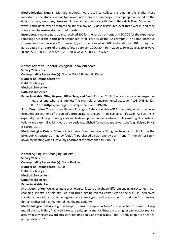**Methodological Details:** Multiple methods were used to collect the data in this study. Most importantly, the study contains two waves of experience sampling in which people reported on the daily stressors, emotions, stress regulation, and momentary activities in their daily lives. During each wave, participants were prompted six times a day on 12 days distributed over three weeks, and they were asked to answer standardized questions.

**Incentives:** In wave 1, participants received 20€ for the session at home and 60-70€ for the experience sampling (70€ if the participant responded to at least 60 of the 72 prompts). The same incentive scheme was used in wave 2. In wave 3, participants received 20€ and additional 20€ if they had participated in all parts of the study. Total: between 120€ (20 + 60 in wave 1, 20 in wave 2, 20 in wave 3) and 220€ (20 + 70 in wave 1, 20 + 70 in wave 2, 20 + 20 in wave 3).

**Name:** Adaptive General Ecological Behaviour Scale **Survey Year:** 2012 **Corresponding Researcher(s):** Sigmar Otto & Florian G. Kaiser **Number of Respondents:** 474

**Field:** Psychology

**Method**: Survey items

**Data Available:** Yes

**Paper Available: Otto, Siegmar, Ulf Kröhne, and David Richter**. 2018. The dominance of introspective measures and what this implies: The example of environmental attitude. PLOS ONE 13 (2), e0192907. [\(https://doi.org/10.1371/journal.pone.0192907\)](https://doi.org/10.1371/journal.pone.0192907)

**Short Description:** The adaptive General Ecological Behavior scale (a-GEB) was designed to provide an economic assessment of a person's propensity to engage in an ecological lifestyle. As such, it is especially useful for promoting sustainable development in science-based policy making. Its construct validity and external validity were previously established for non-adaptive versions (e.g., Kaiser, Byrka, & Hartig, 2010).

**Methodological Details:** 50 self-report items. Examples include "For going to work or school, I use the bike, public transport or I go by foot.", "I purchased a solar energy plant." and "In the winter I turn down my heating when I leave my apartment for more than four hours."

**Name:** Ageing in a Changing Society **Survey Year:** 2016 **Corresponding Researcher(s):** Maria Pavlova **Number of Respondents:** ~2,000 **Field:** Psychology **Method**: Survey items **Data Available:** Yes **Paper Available:** No

**Short Description:** We investigate psychological factors that shape different ageing trajectories in our changing society. To this aim, we add three ageing-related constructs to the SOEP-IS: perceived societal expectations for active ageing, age stereotypes, and preparation for old age in three key domains (physical health, mental health, and activity).

**Methodological Details:** Eight self-report items. Examples include "It is expected from me to keep myself physically fit.", "I actively take care to keep my mental fitness in the higher age, e.g., by mental activity in solving crossword puzzles or reading books and magazines." and "Elderly people are healthy and physically fit."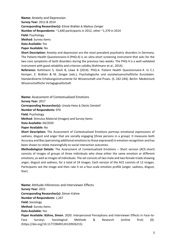**Name:** Anxiety and Depression **Survey Year:** 2012 & 2014 **Corresponding Researcher(s):** Elmar Brähler & Markus Zenger **Number of Respondents:** ~1,640 participants in 2012, other ~1,370 in 2014 **Field:** Psychology **Method**: Survey items **Data Available:** Yes **Paper Available:** No **Short Description:** Anxiety and depression are the most prevalent psychiatric disorders in Germany. The Patient-Health Questionnaire-4 (PHQ-4) is an ultra-short screening instrument that asks for the two core symptoms of both disorders during the previous two weeks. The PHQ-4 is a well-validated instrument with good reliability and criterion validity (Kohlmann et al., 2014).

**Reference:** Kohlmann S, Gierk B, Löwe B (2014). PHQ-4. Patient Health Questionnaire-4. In C.J. Kemper, E. Brähler & M. Zenger (eds.), Psychologische und sozialwissenschaftliche Kurzskalen. Standardisierte Erhebungsinstrumente für Wissenschaft und Praxis. (S. 242-244). Berlin: Medizinisch Wissenschaftliche Verlagsgesellschaft.

**Name:** Assessment of Contextualized Emotions **Survey Year:** 2017 **Corresponding Researcher(s):** Ursula Hess & Denis Gerstorf **Number of Respondents:** 976 **Field:** Psychology **Method**: Stimulus Material (Images) and Survey items

**Data Available:** 04/2020

#### **Paper Available:** No

**Short Description:** The Assessment of Contextualized Emotions portrays emotional expressions of sadness, disgust and anger that are socially engaging (three persons in a group). It measures both Accuracy and Bias (perceiving additional emotions to those expressed) in emotion recognition and has been shown to relate meaningfully to social interaction outcomes.

**Methodological Details:** The Assessment of Contextualized Emotions – Short version (ACE-short) consists of images of groups of three individuals who show either the same emotion or different emotions, as well as images of individuals. The set consists of two male and two female triads showing anger, disgust and sadness, for a total of 24 images. Each version of the ACE consists of 12 images. Participants see the image and then rate it on a four-scale emotion profile (anger, sadness, disgust, fear).

**Name:** Attitude Inferences and Interviewer Effects **Survey Year:** 2015 **Corresponding Researcher(s):** Simon Kühne **Number of Respondents:** 1,267 **Field:** Sociology **Method**: Survey items **Data Available:** Yes **Paper Available: Kühne, Simon**. 2020. Interpersonal Perceptions and Interviewer Effects in Face-to-Face Surveys. Sociological Methods & Research (online first) (0). [\(https://doi.org/10.1177/0049124120926215\)](https://doi.org/10.1177/0049124120926215)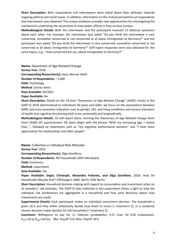**Short Description:** Both respondents and interviewers were asked about their attitudes towards ongoing political and social issues. In addition, information on the mutual perceptions of respondents and interviewers was obtained. The unique database provides new opportunities for investigating the mechanisms underlying the occurrence of interviewer effects in face-to-face surveys.

**Methodological Details:** Both the interviewer and the participant received 15 identical questions about each other. For example, the interviewer was asked "Do you think the interviewee is very concerned, somewhat concerned or not concerned at all about immigration to Germany?" and the participant was asked "Do you think the interviewer is very concerned, somewhat concerned or not concerned at all about immigration to Germany?" Self-report responses were also obtained for the same topics, e.g., "How concerned are you about immigration to Germany?"

**Name:** Awareness of Age-Related Change **Survey Year:** 2018 **Corresponding Researcher(s):** Hans-Werner Wahl **Number of Respondents:** ~1,600 **Field:** Psychology **Method**: Survey items **Data Available:** 04/2021 **Paper Available:** No

**Short Description:** Based on the 10-item "Awareness of Age-Related Change" (AARC) modul in the SOEP-IS 2018 administered to individuals 40 years and older, we focus on the associations between AARC and socio-economic indicators such as gender, SES, and living conditions and various indicators of health and cognitive functioning both cross-sectionally and longitudinally.

**Methodological Details:** 10 self-report items, forming the Awareness of Age-Related Change Short Form (AARC-SF) questionnaire. All items begin with the phrase "With my increasing age, I realize that...", followed by statements such as "my cognitive performance worsens" and "I have more appreciation for relationships and other people".

**Name:** Collective vs Individual Risk Attitudes

**Survey Year:** 2016

**Corresponding Researcher(s):** Olga Gorelkina

**Number of Respondents:** 497 households (994 individuals)

**Field:** Economics

**Method**: Experiment

**Data Available:** Yes

**Paper Available: Engel, Christoph, Alexandra Fedorets, and Olga Gorelkina.** 2018. How Do Households Allocate Risk? [SOEPpapers 1000.](http://www.diw.de/documents/publikationen/73/diw_01.c.611690.de/diw_sp1000.pdf) Berlin: DIW Berlin.

**Short Description:** Household decision making with regard to consumption and investment relies on its members' risk attitudes. The SOEP-IS data collected in this experiment shines a light on how the individual risk preferences are aggregated in a household and how joint decisions about risky investments are made.

**Experimental Details:** Each participant makes an individual investment decision. The household is given 10  $\epsilon$  and they either collectively decide how much to invest (= treatment 1), or a randomly chosen decision maker decides for the household (= treatment 2).

**Incentives:** Willingness to pay for 11 lotteries (probability= 0.5) from 10 EUR endowment. Xlow=10-q<sup>i</sup> Xhigh=10+2q<sup>i</sup> Min. Payoff: 0 €/ Max. Payoff: 30 €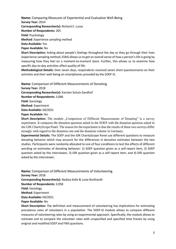**Name:** Comparing Measures of Experiential and Evaluative Well-Being **Survey Year:** 2014 **Corresponding Researcher(s):** Richard E. Lucas

**Number of Respondents:** 265

**Field:** Psychology

**Method**: Experience sampling method

**Data Available:** Yes

**Paper Available:** No

**Short Description:** Asking about people's feelings throughout the day as they go through their lives (experience sampling method, ESM) allows us to get an overall sense of how a person's life is going by measuring how they feel on a moment-to-moment basis. Further, this allows us to examine how specific day-to-day activities affect quality of life.

**Methodological Details:** Over seven days, respondents received seven short questionnaires on their activities and their well-being on smartphones provided by the SOEP-IS.

**Name:** Comparison of Different Measurements of Donating

**Survey Year:** 2018

**Corresponding Researcher(s):** Karsten Schulz-Sandhof

**Number of Respondents:** 3,086

**Field:** Sociology

**Method**: Experiment

**Data Available:** 04/2021

**Paper Available:** No

**Short Description:** The module . Comparison of Different Measurements of Donating" is a survey experiment. It compares the donation question asked in the SOEP with the donation question asked in the GfK CharityScope Panel. The reason for the experiment is that the results of these two surveys differ strongly with regard to the donation rate and the donation volume in Germany.

**Experimental Details:** The SOEP and the GfK CharityScope Panel use different questions to measure donating behavior which may account for the differences in donation estimates between the two studies. Participants were randomly allocated to one of four conditions to test the effects of different wording on estimates of donating behavior: 1) SOEP question given as a self-report item, 2) SOEP question asked by the interviewer, 3) GfK question given as a self-report item, and 4) GfK question asked by the interviewer.

**Name:** Comparison of Different Measurements of Volunteering **Survey Year:** 2018 **Corresponding Researcher(s):** Nadiya Kelle & Luise Burkhardt **Number of Respondents:** 3,958 **Field:** Sociology **Method**: Experiment **Data Available:** 04/2021 **Paper Available:** No

**Short Description:** The definition and measurement of volunteering has implications for estimating prevalence rates of volunteers in a population. The SOEP-IS module allows to compare different measures of volunteering rates by using an experimental approach. Specifically, the module allows to estimate and to compare the volunteer rates with unspecified and specified time frames by using original and modified SOEP and FWS questions.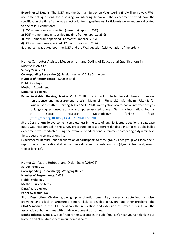**Experimental Details:** The SOEP and the German Survey on Volunteering (Freiwilligensurvey, FWS) use different questions for assessing volunteering behavior. The experiment tested how the specification of a time frame may affect volunteering estimates. Participants were randomly allocated to one of four conditions:

1) FWS – time frame unspecified (currently) (approx. 25%)

2) SOEP – time frame unspecified (no time frame) (approx. 25%)

3) FWS – time frame specified (12 months) (approx. 25%)

4) SOEP – time frame specified (12 months) (approx. 25%)

Each person was asked both the SOEP and the FWS question (with variation of the order).

**Name:** Computer-Assisted Measurement and Coding of Educational Qualifications in

Surveys (CAMCES)

**Survey Year:** 2014

**Corresponding Researcher(s):** Jessica Herzing & Silke Schneider

**Number of Respondents:** ~1,000 in total

**Field:** Sociology

**Method**: Experiment

**Data Available:** Yes

**Paper Available: Herzing, Jessica M. E.** 2018. The impact of technological change on survey nonresponse and measurement [\(thesis\)](https://madoc.bib.uni-mannheim.de/48595). Mannheim: Universität Mannheim, Fakultät für Sozialwissenschaften ; **Herzing, Jessica M. E.** 2020. Investigation of alternative interface designs for long-list questions–the case of a computer-assisted survey in Germany. International Journal of Social Research Methodology (online first). (https://doi.org/10.1080/13645579.2020.1723201)

**Short Description:** To overcome incompleteness in the case of long-list factual questions, a database query was incorporated in the survey procedure. To test different database interfaces, a split-ballot experiment was conducted using the example of educational attainment comparing a dynamic text field, a search tree and a long list.

**Experimental Details:** Random allocation of participants to three groups. Each group was shown selfreport items on educational attainment in a different presentation form (dynamic text field, search tree or long list).

**Name:** Confusion, Hubbub, and Order Scale (CHAOS) **Survey Year:** 2014 **Corresponding Researcher(s):** Wolfgang Rauch **Number of Respondents:** 1,078 **Field:** Psychology **Method**: Survey items **Data Available:** Yes **Paper Available:** No

**Short Description:** Children growing up in chaotic homes, i.e., homes characterized by noise, crowding, and a lack of structure are more likely to develop behavioral and other problems. The CHAOS module in the SOEP-IS allows the replication and extension of previous results on the association of home chaos with child development outcomes.

**Methodological Details:** Six self-report items. Examples include "You can't hear yourself think in our home." and "The atmosphere in our home is calm."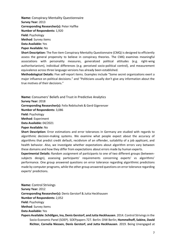**Name:** Conspiracy Mentality Questionnaire **Survey Year:** 2013 **Corresponding Researcher(s):** Peter Haffke **Number of Respondents:** 1,920 **Field:** Psychology **Method**: Survey items **Data Available:** Yes **Paper Available:** No

**Short Description:** The five-item Conspiracy Mentality Questionnaire (CMQ) is designed to efficiently assess the general propensity to believe in conspiracy theories. The CMQ examines meaningful associations with personality measures, generalized political attitudes (e.g. right-wing authoritarianism), individual differences (e.g. perceived socio-political control), and measurement equivalence across three language versions has already been established.

**Methodological Details:** Five self-report items. Examples include "Some secret organizations exert a major influence on political decisions." and "Politicians usually don't give any information about the true motives of their decisions."

**Name:** Consumers' Beliefs and Trust in Predictive Analytics **Survey Year:** 2018 **Corresponding Researcher(s):** Felix Rebitschek & Gerd Gigerenzer **Number of Respondents:** 3,086 **Field:** Psychology **Method**: Experiment **Data Available:** 04/2021

#### **Paper Available:** No

**Short Description:** Error estimations and error tolerances in Germany are studied with regards to algorithmic decision-making systems. We examine what people expect about the accuracy of algorithms that predict credit default, recidivism of an offender, suitability of a job applicant, and health behavior. Also, we investigate whether expectations about algorithm errors vary between these domains and how they differ from expectations about errors made by human experts.

**Experimental Details:** Random assignment of participants to one of two different groups (betweensubjects design), assessing participants' requirements concerning experts' vs algorithms' performance. One group answered questions on error tolerance regarding algorithmic predictions made by computer programs, while the other group answered questions on error tolerance regarding experts' predictions.

**Name:** Control Strivings **Survey Year:** 2012 **Corresponding Researcher(s):** Denis Gerstorf & Jutta Heckhausen **Number of Respondents:** 2,052 **Field:** Psychology **Method**: Survey items **Data Available:** Yes

**Papers Available: Schöllgen, Ina, Denis Gerstorf, and Jutta Heckhausen**. 2014. Control Strivings in the Socio-Economic Panel (SOEP)[. SOEPpapers 727.](http://www.diw.de/documents/publikationen/73/diw_01.c.495057.de/diw_sp0727.pdf) Berlin: DIW Berlin; **Hommelhoff, Sabine, David Richter, Cornelia Niessen, Denis Gerstorf, and Jutta Heckhausen**. 2019. Being Unengaged at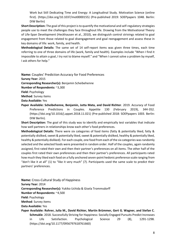Work but Still Dedicating Time and Energy: A Longitudinal Study. Motivation Science (online first). [\(https://doi.org/10.1037/mot0000155\)](https://doi.org/10.1037/mot0000155) (Pre-published 2019: [SOEPpapers 1048.](http://www.diw.de/documents/publikationen/73/diw_01.c.672723.de/diw_sp1048.pdf) Berlin: DIW Berlin)

**Short Description:** The goal of this project is to quantify the motivational and self-regulatory strategies people use to meet the challenges they face throughout life. Drawing from the Motivational Theory of Life-Span Development (Heckhausen et al., 2010), we distinguish control strivings related to goal engagement from those related to goal disengagement and goal reengagement and assess these in key domains of life: work, family, and health.

**Methodological Details:** The same set of 14 self-report items was given three times, each time referring to one of three domains of life (work, family and health). Examples include "When I find it impossible to attain a goal, I try not to blame myself." and "When I cannot solve a problem by myself, I ask others for help."

**Name:** Couples' Prediction Accuracy for Food Preferences **Survey Year:** 2015 **Corresponding Researcher(s):** Benjamin Scheibehenne **Number of Respondents:** ~3,300 **Field:** Psychology

**Method**: Survey items

**Data Available:** Yes

**Paper Available: Scheibehenne, Benjamin, Jutta Mata, and David Richter**. 2019. Accuracy of Food Preference Predictions in Couples. Appetite 130 (February 2019), 344-352. [\(https://doi.org/10.1016/j.appet.2018.11.021\)](https://doi.org/10.1016/j.appet.2018.11.021) (Pre-published 2018: [SOEPpapers 1003.](http://www.diw.de/documents/publikationen/73/diw_01.c.611887.de/diw_sp1003.pdf) Berlin: DIW Berlin).

**Short Description:** The goal of this study was to identify and empirically test variables that indicate how well partners in relationships know each other's food preferences.

**Methodological Details:** There were six categories of food items (fatty & potentially liked, fatty & potentially disliked, sweet & potentially liked, sweet & potentially disliked, healthy & potentially liked, healthy & potentially disliked). For each couple, one food from each of the six categories was randomly selected and the selected foods were presented in random order. Half of the couples, again randomly assigned, first rated their own and then their partner's preferences on all items. The other half of the couples first rated their own preferences and then their partner's preferences. All participants rated how much they liked each food on a fully anchored seven-point hedonic preference scale ranging from "don't like it at all" (1) to "like it very much" (7). Participants used the same scale to predict their partners' preferences.

**Name:** Cross-Cultural Study of Happiness **Survey Year:** 2014 **Corresponding Researcher(s):** Yukiko Uchida & Gisela Trommsdorff **Number of Respondents:** ~4,500 **Field:** Psychology **Method**: Survey items **Data Available:** Yes **Paper Available: Rohrer, Julia M., David Richter, Martin Brümmer, Gert G. Wagner, and Stefan C. Schmukle**. 2018. Successfully Striving for Happiness: Socially Engaged Pursuits Predict Increases in Life Satisfaction. Psychological Science 29 (8), 1291-1298. [\(https://doi.org/10.1177/0956797618761660\)](https://doi.org/10.1177/0956797618761660)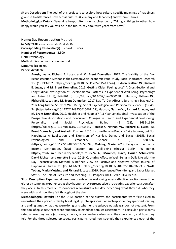**Short Description:** The goal of this project is to explore how culture-specific meanings of happiness give rise to differences both across cultures (Germany and Japanese) and within cultures. **Methodological Details:** Several self-report items on happiness, e.g., "Taking all things together, how happy would you say you will be in the future, say about five years from now?"

**Name:** Day Reconstruction Method **Survey Year:** 2012, 2013, 2014, & 2015 **Corresponding Researcher(s):** Richard E. Lucas **Number of Respondents:** ~2,300 **Field:** Psychology **Method**: Day reconstruction method **Data Available:** Yes **Papers Available:** 

> **Anusic, Ivana, Richard E. Lucas, and M. Brent Donnellan**. 2017. The Validity of the Day Reconstruction Method in the German Socio-economic Panel Study. Social Indicators Research 130 (1), 213-232. [\(https://doi.org/10.1007/s11205-015-1172-6\)](https://doi.org/10.1007/s11205-015-1172-6); **Hudson, Nathan W., Richard E. Lucas, and M. Brent Donnellan**. 2016. Getting Older, Feeling Less? A Cross-Sectional and Longitudinal Investigation of Developmental Patterns in Experiential Well-Being. Psychology and Aging 31 (8), 847-861. [\(https://doi.org/10.1037/pag0000138](https://doi.org/10.1037/pag0000138) ); **Hudson, Nathan W., Richard E. Lucas, and M. Brent Donnellan**. 2017. Day-To-Day Affect is Surprisingly Stable: A 2- Year Longitudinal Study of Well-Being. Social Psychological and Personality Science 8 (1), 45- 54. [\(https://doi.org/10.1177/1948550616662129\)](https://doi.org/10.1177/1948550616662129); **Hudson, Nathan W., Richard E. Lucas, and M. Brent Donnellan**. 2019. Healthier and Happier? A 3-Year Longitudinal Investigation of the Prospective Associations and Concurrent Changes in Health and Experiential Well-Being. Personality and Social Psychology Bulletin 45 (12), 1635-1650. [\(https://doi.org/10.1177/0146167219838547\)](https://doi.org/10.1177/0146167219838547); **Hudson, Nathan W., Richard E. Lucas, M. Brent Donnellan, and Kostadin Kushlev**. 2016. Income Reliably Predicts Daily Sadness, but Not Happiness: A Replication and Extension of Kushlev, Dunn, and Lucas (2015). Social Psychological and Personality Science 7 (8), 828-836. [\(https://doi.org/10.1177/1948550616657599\)](https://doi.org/10.1177/1948550616657599); **Metzing, Maria**. 2019. Essays on Inequality: Income Distribution, (Just) Taxation and Well-being (thesis). Berlin: FU Berlin. [https://refubium.fu-berlin.de/handle/fub188/24937;](https://refubium.fu-berlin.de/handle/fub188/24937) **Möwisch, Dave, Florian Schmiedek, David Richter, and Annette Brose**. 2019. Capturing Affective Well-Being in Daily Life with the Day Reconstruction Method: A Refined View on Positive and Negative Affect. Journal of Happiness Studies 20 (2), 641-663. [\(https://doi.org/10.1007/s10902-018-9965-3](https://doi.org/10.1007/s10902-018-9965-3) ); **Wolf, Tobias, Maria Metzing, and Richard E. Lucas**. 2019. Experienced Well-Being and Labor Market Status: The Role of Pleasure and Meaning. [SOEPpapers 1043.](http://www.diw.de/documents/publikationen/73/diw_01.c.669366.de/diw_sp1043.pdf) Berlin: DIW Berlin.

**Short Description:** Experiential measures of subjective well-being assess affective reactions over time, either by sampling experiences as they happen or by retrospectively recreating experiences soon after they occur. In this module, respondents reconstruct a full day, describing what they did, who they were with, and how they felt throughout the day.

**Methodological Details:** For the DRM portion of the survey, the participants were first asked to reconstruct their previous day by breaking it up into episodes. For each episode they specified starting and ending times, what they were doing, and whether the episode was pleasant or not pleasant. From this pool of episodes, three were randomly selected for detailed assessment. In particular, participants rated where they were (at home, at work, or somewhere else), who they were with, and how they felt. For the three selected episodes, participants rated how strongly they experienced each of the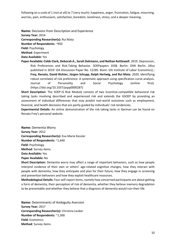following on a scale of 1 (not at all) to 7 (very much): happiness, anger, frustration, fatigue, mourning, worries, pain, enthusiasm, satisfaction, boredom, loneliness, stress, and a deeper meaning.

**Name:** Decisions from Description and Experience **Survey Year:** 2014

**Corresponding Researcher(s):** Rui Mata

**Number of Respondents:** ~950

**Field:** Psychology

**Method**: Experiment

**Data Available:** Yes

**Paper Available: Cobb-Clark, Deborah A., Sarah Dahmann, and Nathan Kettlewell**. 2019. Depression, Risk Preferences and Risk-Taking Behavior. [SOEPpapers 1038.](http://www.diw.de/documents/publikationen/73/diw_01.c.626295.de/diw_sp1038.pdf) Berlin: DIW Berlin. (Also published in 2019: IZA Discussion Paper No. 12285. Bonn: IZA Institute of Labor Economics).; **Frey, Renato, David Richter, Jürgen Schupp, Ralph Hertwig, and Rui Mata**. 2020. Identifying robust correlates of risk preference: A systematic approach using specification curve analysis. Journal of Personality and Social Psychology (online first). [\(https://doi.org/10.1037/pspp0000287\)](https://doi.org/10.1037/pspp0000287)

**Short Description:** The SOEP-IS Risk Module consists of two incentive-compatible behavioral risk taking tasks involving described and experienced risk and extends the GSOEP by providing an assessment of individual differences that may predict real-world outcomes such as employment, financial, and health decisions that are partly guided by individuals' risk tendencies.

**Experimental Details:** An online demonstration of the risk taking tasks in German can be found on [Renato Frey's personal website](https://renatofrey.net/demos/).

**Name:** Dementia Worry **Survey Year:** 2012 **Corresponding Researcher(s):** Eva-Marie Kessler **Number of Respondents:** ~1,640 **Field:** Psychology **Method**: Survey items **Data Available:** Yes **Paper Available:** No

**Short Description:** Dementia worry may affect a range of important behaviors, such as how people interpret evidence of their own or others' age-related cognitive changes, how they interact with people with dementia, how they anticipate and plan for their future, how they engage in screening and prevention behaviors and how they exploit healthcare resources.

**Methodological Details:** Four self-report items, namely how concerned participants are about getting a form of dementia, their perception of risk of dementia, whether they believe memory degradation to be preventable and whether they believe that a diagnosis of dementia would ruin their life.

**Name:** Determinants of Ambiguity Aversion **Survey Year:** 2017 **Corresponding Researcher(s):** Christina Leuker **Number of Respondents:** ~1,500 **Field:** Economics **Method**: Survey items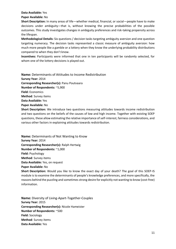#### **Data Available:** Yes

**Paper Available:** No

**Short Description:** In many areas of life—whether medical, financial, or social—people have to make decisions under ambiguity—that is, without knowing the precise probabilities of the possible outcomes. This study investigates changes in ambiguity preferences and risk-taking propensity across the lifespan.

**Methodological Details:** Six questions / decision tasks targeting ambiguity aversion and one question targeting numeracy. The decision tasks represented a classic measure of ambiguity aversion: how much more people like a gamble or a lottery when they know the underlying probability distributions compared to when they don't know.

**Incentives:** Participants were informed that one in ten participants will be randomly selected, for whom one of the lottery decisions is played out.

**Name:** Determinants of Attitudes to Income Redistribution **Survey Year:** 2014 **Corresponding Researcher(s):** Panu Poutvaara **Number of Respondents:** ~5,900 **Field:** Economics **Method**: Survey items **Data Available:** Yes **Paper Available:** No **Short Description:** We introduce two questions measuring attitudes towards income redistribution

and two questions on the beliefs of the causes of low and high income. Together with existing SOEP questions, these allow estimating the relative importance of self-interest, fairness considerations, and various other factors in explaining attitudes towards redistribution.

**Name:** Determinants of Not Wanting to Know **Survey Year:** 2014 **Corresponding Researcher(s):** Ralph Hertwig **Number of Respondents:** ~1,000 **Field:** Psychology **Method**: Survey items **Data Available:** Yes, on request **Paper Available:** No

**Short Description:** Would you like to know the exact day of your death? The goal of this SOEP-IS module is to examine the determinants of people's knowledge preferences, and more specifically, the reasons behind the puzzling and sometimes strong desire for explicitly not wanting to know (cost-free) information.

**Name:** Diversity of Living-Apart-Together-Couples **Survey Year:** 2015 **Corresponding Researcher(s):** Nicole Hameister **Number of Respondents:** ~500 **Field:** Sociology **Method**: Survey items **Data Available:** Yes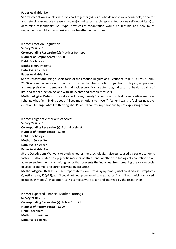#### **Paper Available:** No

**Short Description:** Couples who live apart together (LAT), i.e. who do not share a household, do so for a variety of reasons. We measure two major indicators (each represented by one self-report item) to determine respondents' LAT type: how easily cohabitation would be feasible and how much respondents would actually desire to live together in the future.

**Name:** Emotion Regulation **Survey Year:** 2015 **Corresponding Researcher(s):** Matthias Romppel **Number of Respondents:** ~2,800 **Field:** Psychology **Method**: Survey items **Data Available:** Yes **Paper Available:** No

**Short Description:** Using a short form of the Emotion Regulation Questionnaire (ERQ; Gross & John, 2003) we examine associations of the use of two habitual emotion regulation strategies, suppression and reappraisal, with demographic and socioeconomic characteristics, indicators of health, quality of life, and social functioning, and with life events and chronic stressors.

**Methodological Details:** Four self-report items, namely "When I want to feel more positive emotion, I change what I'm thinking about, "I keep my emotions to myself", "When I want to feel less negative emotion, I change what I'm thinking about", and "I control my emotions by not expressing them".

**Name:** Epigenetic Markers of Stress **Survey Year:** 2015 **Corresponding Researcher(s):** Roland Weierstall **Number of Respondents:** ~5,130 **Field:** Psychology **Method**: Survey items **Data Available:** Yes **Paper Available:** No

**Short Description:** We want to study whether the psychological distress caused by socio-economic factors is also related to epigenetic markers of stress and whether the biological adaptation to an adverse environment is a limiting factor that prevents the individual from breaking the vicious cycle of socio-economic- and chronic psychological stress.

**Methodological Details:** 25 self-report items on stress symptoms (Subclinical Stress Symptoms Questionnaire, SSQ-25), e.g, "I could not get up because I was exhausted" and "I was quickly annoyed, irritable, or moody". In addition, saliva samples were taken and analyzed by the researchers.

**Name:** Expected Financial Market Earnings **Survey Year:** 2012 **Corresponding Researcher(s):** Tobias Schmidt **Number of Respondents:** ~1,600 **Field:** Economics **Method**: Experiment **Data Available:** Yes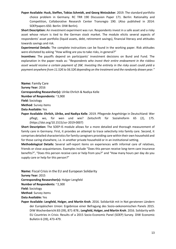**Paper Available: Huck, Steffen, Tobias Schmidt, and Georg Weizsäcker**. 2019. The standard portfolio choice problem in Germany. RC TRR 190 [Discussion Paper 171.](https://epub.ub.uni-muenchen.de/69191/1/171.pdf) Berlin: Rationality and Competition, Collaborative Research Center Transregio 190. (Also published in 2014: SOEPpapers 650. Berlin: DIW Berlin).

**Short Description:** An investment experiment was run. Respondents invest in a safe asset and a risky asset whose return is tied to the German stock market. The module elicits several aspects of respondents' asset portfolio (liquid assets, debt, retirement savings), financial literacy and attitudes towards savings and risk.

**Experimental Details:** The complete instructions can be found in the working paper. Risk attitudes were elicitated by asking "How willing are you to take risks, in general?"

**Incentives:** The payoffs depend on participants' investment decisions on Bund and Fund. The explanation in the paper reads as: "*Respondents who invest their entire endowment in the riskless asset would receive a certain payment of 26€. Investing the entirety in the risky asset could yield a payment anywhere from 11.52€ to 56.52€ depending on the treatment and the randomly drawn year."*

**Name:** Family Care **Survey Year:** 2016 **Corresponding Researcher(s):** Ulrike Ehrlich & Nadiya Kelle **Number of Respondents:** ~3,900 **Field:** Sociology **Method**: Survey items **Data Available:** Yes

**Paper Available: Ehrlich, Ulrike, and Nadiya Kelle**. 2019. Pflegende Angehörige in Deutschland: Wer pflegt, wo, für wen und wie? Zeitschrift für Sozialreform 65 (2), 175. [\(https://doi.org/10.1515/zsr-2019-0007\)](https://doi.org/10.1515/zsr-2019-0007)

**Short Description:** The SOEP-IS module allows for a more detailed and thorough measurement of family care in Germany. First, it provides an attempt to trace selectivity into family care. Second, it comprises detailed characteristics for family caregivers providing care within their own household and for those caring elsewhere, i.e. in another private household or in an institutional setting.

**Methodological Details:** Several self-report items on experiences with informal care of relatives, friends or close acquaintances. Examples include "Does this person receive long-term care insurance benefits?", "Does this person receive care or help from you?" and "How many hours per day do you supply care or help for this person?"

**Name:** Fiscal Crisis in the EU and European Solidarity **Survey Year:** 2015 **Corresponding Researcher(s):** Holger Lengfeld **Number of Respondents:** ~2,300 **Field:** Sociology **Method**: Survey items **Data Available:** Yes **Paper Available: Lengfeld, Holger, and Martin Kroh**. 2016. Solidarität mit in Not geratenen Ländern

der Europäischen Union: Ergebnisse einer Befragung des Sozio-oekonomischen Panels 2015[.](https://www.diw.de/documents/publikationen/73/diw_01.c.543283.de/16-39-1.pdf) [DIW Wochenbericht 83 \(39\), 871-878.](https://www.diw.de/documents/publikationen/73/diw_01.c.543283.de/16-39-1.pdf); **Lengfeld, Holger, and Martin Kroh**. 2016. Solidarity with EU Countries in Crisis: Results of a 2015 Socio-Economic Panel (SOEP) Survey. [DIW Economic](https://www.diw.de/documents/publikationen/73/diw_01.c.543717.de/diw_econ_bull_2016-39-1.pdf)  [Bulletin 6 \(39\), 473-479.](https://www.diw.de/documents/publikationen/73/diw_01.c.543717.de/diw_econ_bull_2016-39-1.pdf)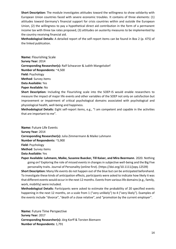**Short Description:** The module investigates attitudes toward the willingness to show solidarity with European Union countries faced with severe economic troubles. It contains of three elements: (1) attitudes toward Germany's financial support for crisis countries within and outside the European Union, (2) the willingness to pay a hypothetical direct aid contribution in the form of a permanent income tax with three tax rates proposed, (3) attitudes on austerity measures to be implemented by the country receiving financial aid.

**Methodological Details:** A detailed report of the self-report items can be found in Box 2 (p. 475) of the linked publication.

**Name:** Flourishing Scale **Survey Year:** 2014 **Corresponding Researcher(s):** Ralf Schwarzer & Judith Mangelsdorf **Number of Respondents:** ~4,500 **Field:** Psychology **Method**: Survey items **Data Available:** Yes **Paper Available:** No **Short Description:** Including the Flourishing scale into the SOEP-IS would enable researchers to

measure the impact of major life events and other variables of the SOEP not only on satisfaction but improvement or impairment of critical psychological domains associated with psychological and physiological health, well-being and happiness.

**Methodological Details:** Eight self-report items, e.g., "I am competent and capable in the activities that are important to me".

**Name:** Future Life Events **Survey Year:** 2014 **Corresponding Researcher(s):** Julia Zimmermann & Maike Luhmann **Number of Respondents:** ~5,900 **Field:** Psychology **Method**: Survey items **Data Available:** Yes

**Paper Available: Luhmann, Maike, Susanne Buecker, Till Kaiser, and Mira Beermann**. 2020. Nothing going on? Exploring the role of missed events in changes in subjective well-being and the Big Five personality traits. Journal of Personality (online first). [\(https://doi.org/10.1111/jopy.12539\)](https://doi.org/10.1111/jopy.12539) **Short Description:** Many life events do not happen out of the blue but can be anticipated beforehand. To investigate these kinds of anticipation effects, participants were asked to indicate how likely it was that different events would occur in the next 12 months. Events from various life domains (e.g., family, work, mobility) were included.

**Methodological Details:** Participants were asked to estimate the probability of 20 specified events happening in the next 12 months, on a scale from 1 ("very unlikely") to 4 ("very likely"). Examples of the events include "divorce", "death of a close relative", and "promotion by the current employer".

**Name:** Future Time Perspective **Survey Year:** 2017 **Corresponding Researcher(s):** Jörg Korff & Torsten Biemann **Number of Respondents:** 1,791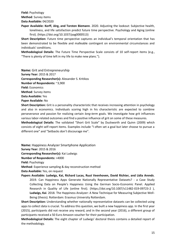**Field:** Psychology

**Method**: Survey items

**Data Available:** 04/2020

**Paper Available: Korff, Jörg, and Torsten Biemann**. 2020. Adjusting the lookout: Subjective health, loneliness, and life satisfaction predict future time perspective. Psychology and Aging (online first). [\(https://doi.org/10.1037/pag0000513\)](https://doi.org/10.1037/pag0000513)

**Short Description:** Future time perspective captures an individual's temporal orientation that has been demonstrated to be flexible and malleable contingent on environmental circumstances and individuals' conditions.

**Methodological Details:** The Future Time Perspective Scale consists of 10 self-report items (e.g., "There is plenty of time left in my life to make new plans.").

**Name:** Grit and Entrepreneurship **Survey Year:** 2015 & 2017 **Corresponding Researcher(s):** Alexander S. Kritikos **Number of Respondents:** ~3,900 **Field:** Economics **Method**: Survey items **Data Available:** Yes **Paper Available:** No

**Short Description:** Grit is a personality characteristic that receives increasing attention in psychology and also in economics. Individuals scoring high in his characteristic are expected to combine perseverance and passion for realizing certain *long-term* goals. We investigate how grit influences various labor-related outcomes and find a positive influence of grit on some of these measures. **Methodological Details:** The validated "Short Grit Scale" by Duckworth and Quinn (2009) which

consists of eight self-report items. Examples include "I often set a goal but later choose to pursue a different one" and "Setbacks don't discourage me".

**Name:** Happiness Analyzer Smartphone Application **Survey Year:** 2015 & 2016

**Corresponding Researcher(s):** Kai Ludwigs

**Number of Respondents:** >4000

**Field:** Psychology

**Method**: Experience sampling & day reconstruction method

**Data Available:** Yes, on request

**Papers Available: Ludwigs, Kai, Richard Lucas, Ruut Veenhoven, David Richter, and Lidia Arends**. 2019. Can Happiness Apps Generate Nationally Representative Datasets? - a Case Study Collecting Data on People's Happiness Using the German Socio-Economic Panel. Applied Research in Quality of Life (online first). [\(https://doi.org/10.1007/s11482-019-09723-2](https://doi.org/10.1007/s11482-019-09723-2) ), **Ludwigs, Kai**. 2018. The Happiness Analyzer: A New Technique for Measuring Subjective Well-Being [\(thesis\)](https://repub.eur.nl/pub/105249/Final-PhD-Thesis-Kai-Ludwigs-14.02.2018.pdf). Rotterdam: Erasmus University Rotterdam.

**Short Description:** Understanding whether nationally representative datasets can be collected using apps to collect data is crucial. To address this question, we built a new happiness app. In the first year (2015), participants did not receive any reward, and in the second year (2016), a different group of participants received a 50 Euro Amazon voucher for their participation.

**Methodological Details:** The eight chapter of Ludwigs' doctoral thesis contains a detailed report of the methodology.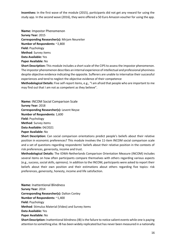**Incentives:** In the first wave of the module (2015), participants did not get any reward for using the study app. In the second wave (2016), they were offered a 50 Euro Amazon voucher for using the app.

**Name:** Impostor Phenomenon **Survey Year:** 2015 **Corresponding Researcher(s):** Mirjam Neureiter **Number of Respondents:** ~2,800 **Field:** Psychology **Method**: Survey items **Data Available:** Yes **Paper Available:** No **Short Description:** This module includes a short scale of the CIPS to assess the impostor phenomenon.

The impostor phenomenon describes an internal experience of intellectual and professional phoniness despite objective evidence indicating the opposite. Sufferers are unable to internalize their successful experiences and tend to neglect the objective evidence of their competence

**Methodological Details:** Five self-report items, e.g., "I am afraid that people who are important to me may find out that I am not as competent as they believe".

**Name:** INCOM Social Comparison Scale **Survey Year:** 2018 **Corresponding Researcher(s):** Levent Neyse **Number of Respondents:** 1,600 **Field:** Psychology **Method**: Survey items **Data Available:** 04/2021

**Paper Available:** No

**Short Description:** Can social comparison orientations predict people's beliefs about their relative position in economic preferences? This module involves the 11-item INCOM social comparison scale and a set of questions regarding respondents' beliefs about their relative position in the contexts of risk preferences, generosity, income and trust.

**Methodological Details:** The IOWA-Netherlands Comparison Orientation Measure (INCOM) includes several items on how often participants compare themselves with others regarding various aspects (e.g., success, social skills, opinions). In addition to the INCOM, participants were asked to report their beliefs about their own position and their estimations about others regarding five topics: risk preferences, generosity, honesty, income and life satisfaction.

**Name:** Inattentional Blindness **Survey Year:** 2014 **Corresponding Researcher(s):** Dalton Conley **Number of Respondents:** ~1,400 **Field:** Psychology **Method**: Stimulus Material (Video) and Survey items **Data Available:** Yes **Paper Available:** No **Short Description:** Inattentional blindness (IB) is the failure to notice salient events while one is paying attention to something else. IB has been widely replicated but has never been measured in a nationally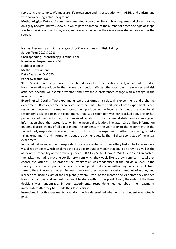representative sample. We measure IB's prevalence and its association with ADHD and autism, and with socio-demographic background.

**Methodological Details:** A computer-generated video of white and black squares and circles moving on a gray background was shown, in which participants count the number of times one type of shape touches the side of the display area, and are asked whether they saw a new shape move across the screen.

**Name:** Inequality and Other-Regarding Preferences and Risk Taking **Survey Year:** 2017 & 2018 **Corresponding Researcher(s):** Dietmar Fehr **Number of Respondents:** 2,588 **Field:** Economics **Method**: Experiment **Data Available:** 04/2020 **Paper Available:** No

**Short Description:** The proposed research addresses two key questions. First, we are interested in how the relative position in the income distribution affects other-regarding preferences and risk attitudes. Second, we examine whether and how these preferences change with a change in the income distribution.

**Experimental Details:** Two experiments were performed (a risk-taking experiment and a sharing experiment). Both experiments consisted of three parts. In the first part of both experiments, each respondent received information about their position in the income distribution relative to all respondents taking part in the experiment. That is, a respondent was either asked about his or her perception of inequality (i.e., the perceived location in the income distribution) or was given information about their actual location in the income distribution. The latter part utilized information on annual gross wages of all experimental respondents in the year prior to the experiment. In the second part, respondents received the instructions for the experiment (either the sharing or risktaking experiment) and information about the payment details. The third part consisted of the actual experiment.

In the risk-taking experiment, respondents were presented with five lottery tasks. The lotteries were visualized by boxes which displayed the possible amount of money that could be drawn as well as the associated probability of the draw (e.g., box 1: 50% €2 / 50% €3; box 2: 75% €5 / 25% €1). In each of the tasks, they had to pick one box (lottery) from which they would like to draw from (i.e., in total they choose five lotteries). The order of the lottery tasks was randomized at the individual level. In the sharing experiment, respondents made three independent decisions with anonymous recipients from three different income classes. For each decision, they received a certain amount of money and learned the income class of the recipient (bottom-, fifth- or top-income decile) before they decided how much of their endowment they want to share with this recipient. Again, the order of the three decisions was randomized. In both experiments, respondents learned about their payments immediately after they had made their last decision.

**Incentives:** In both experiments, a random device determined whether a respondent was actually paid.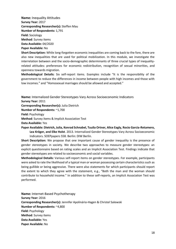**Name:** Inequality Attitudes **Survey Year:** 2017 **Corresponding Researcher(s):** Steffen Mau **Number of Respondents:** 1,791 **Field:** Sociology **Method**: Survey items **Data Available:** 04/2020 **Paper Available:** No

**Short Description:** While long-forgotten economic inequalities are coming back to the fore, there are also new inequalities that are used for political mobilization. In this module, we investigate the interrelation between and the socio-demographic determinants of three crucial types of inequalityrelated attitudes: preferences for economic redistribution, recognition of sexual minorities, and openness towards migration.

**Methodological Details:** Six self-report items. Examples include "It is the responsibility of the government to reduce the differences in income between people with high incomes and those with low incomes." and "Homosexual marriages should be allowed and accepted."

**Name:** Internalized Gender Stereotypes Vary Across Socioeconomic Indicators

**Survey Year:** 2011

**Corresponding Researcher(s):** Julia Dietrich

**Number of Respondents:** ~1,700

**Field:** Psychology

**Method**: Survey items & Implicit Association Test

**Data Available:** Yes

**Paper Available: Dietrich, Julia, Konrad Schnabel, Tuulia Ortner, Alice Eagly, Rocio Garcia-Retamero, Lea Kröger, and Elke Holst**. 2013. Internalized Gender Stereotypes Vary Across Socioeconomic Indicators. [SOEPpapers 558.](http://www.diw.de/documents/publikationen/73/diw_01.c.421920.de/diw_sp0558.pdf) Berlin: DIW Berlin.

**Short Description:** We propose that one important cause of gender inequality is the presence of gender stereotypes in society. We describe two approaches to measure gender stereotypes: an explicit questionnaire based on rating scales and an Implicit Association Test. Findings indicate that gender stereotypes are related to socioeconomic and social variables.

**Methodological Details:** Various self-report items on gender stereotypes. For example, participants were asked to rate the likelihood of a typical man or woman possessing certain characteristics such as being gullible or being aggressive. There were also statements for which participants should report the extent to which they agree with the statement, e.g., "Both the man and the woman should contribute to household income." In addition to these self-reports, an Implicit Association Test was performed.

**Name:** Internet-Based Psychotherapy **Survey Year:** 2016 **Corresponding Researcher(s):** Jennifer Apolinário-Hagen & Christel Salewski **Number of Respondents:** ~4,800 **Field:** Psychology **Method**: Survey items **Data Available:** Yes **Paper Available:** No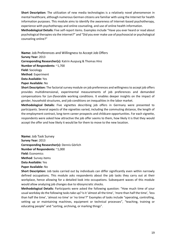**Short Description:** The utilization of new media technologies is a relatively novel phenomenon in mental healthcare, although numerous German citizens are familiar with using the Internet for health information purposes. This module aims to identify the awareness of Internet-based psychotherapy, experience with psychotherapy and online counseling, and use of online health information.

**Methodological Details:** Five self-report items. Examples include "Have you ever heard or read about psychological therapies via the internet?" and "Did you ever make use of psychosocial or psychological counseling online?"

**Name:** Job Preferences and Willingness to Accept Job Offers **Survey Year:** 2013 **Corresponding Researcher(s):** Katrin Auspurg & Thomas Hinz **Number of Respondents:** ~1,700 **Field:** Sociology **Method**: Experiment **Data Available:** Yes **Paper Available:** No

**Short Description:** The factorial survey module on job preferences and willingness to accept job offers provides multidimensional, experimental measurements of job preferences and demanded compensations for (un-)favorable working conditions. It enables deeper insights on the impact of gender, household structures, and job conditions on inequalities in the labor market.

**Methodological Details:** Five vignettes describing job offers in Germany were presented to participants. Several aspects of the vignettes varied, including the commuting distance, the length of the employment contract, long-term career prospects and childcare opportunities. For each vignette, respondents were asked how attractive the job offer seems to them, how likely it is that they would accept the offer and how likely it would be for them to move to the new location.

**Name:** Job Task Survey **Survey Year:** 2013 **Corresponding Researcher(s):** Dennis Görlich **Number of Respondents:** ~1,000 **Field:** Economics **Method**: Survey items **Data Available:** Yes **Paper Available:** No

**Short Description:** Job tasks carried out by individuals can differ significantly even within narrowly defined occupations. This module asks respondents about the job tasks they carry out at their workplace, hence allowing for a detailed look into occupations. Subsequent waves of this module would allow analyzing job changes due to idiosyncratic shocks.

**Methodological Details:** Participants were asked the following question: "How much time of your usual workday do the following tasks take up? Is it 'almost all the time', 'more than half the time', 'less than half the time', 'almost no time' or 'no time'?" Examples of tasks include "operating, controlling, setting up or maintaining machines, equipment or technical processes", "teaching, training or educating people" and "sorting, archiving, or marking things".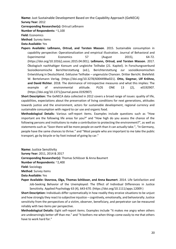**Name:** Just Sustainable Development Based on the Capability Approach (GeNECA) **Survey Year:** 2012

**Corresponding Researcher(s):** Ortrud Leßmann

**Number of Respondents:** ~1,100

**Field:** Economics

**Method**: Survey items

**Data Available:** Yes

**Papers Available: Leßmann, Ortrud, and Torsten Masson**. 2015. Sustainable consumption in capability perspective: Operationalization and empirical illustration. Journal of Behavioral and Experimental Economics 57 (August 2015), 64-72. [\(https://doi.org/10.1016/j.socec.2015.04.001\)](https://doi.org/10.1016/j.socec.2015.04.001); **Leßmann, Ortrud, and Torsten Masson**. 2017. Ökologisch nachhaltiger Konsum und ungleiche Teilhabe (21. Kapitel). In Forschungsverbund Sozioökonomische Berichterstattung (ed.), Berichterstattung zur sozioökonomischen Entwicklung in Deutschland. Exklusive Teilhabe – ungenutzte Chancen. Dritter Bericht. Bielefeld: W. Bertelsmann Verlag. [\(https://doi.org/10.3278/6004498w021\)](https://doi.org/10.3278/6004498w021). **Otto, Siegmar, Ulf Kröhne, and David Richter**. 2018. The dominance of introspective measures and what this implies: The example of environmental attitude. PLOS ONE 13 (2), e0192907. [\(https://doi.org/10.1371/journal.pone.0192907\)](https://doi.org/10.1371/journal.pone.0192907)

**Short Description:** The GeNECA data collected in 2012 covers a broad range of issues: quality of life, capabilities, expectations about the preservation of living conditions for next generations, attitudes towards justice and the environment, actors for sustainable development, regional currency and sustainable consumption with regard to car use and organic food.

**Methodological Details:** Various self-report items. Examples include questions such as "How important are the following life areas for you?" and "How high do you assess the chance of the following persons and institutions to make a contribution to protecting the environment?", as well as statements such as "Soon there will be more people on earth than it can actually take.", "In Germany, people have the same chances to thrive." and "Most people who are important to me take the public transport, go by bicycle or by foot instead of going by car."

**Name:** Justice Sensitivity

**Survey Year:** 2011, 2014 & 2017

**Corresponding Researcher(s):** Thomas Schlösser & Anna Baumert

**Number of Respondents:** ~2,400

**Field:** Sociology

**Method**: Survey items

**Data Available:** Yes

**Paper Available: Stavrova, Olga, Thomas Schlösser, and Anna Baumert**. 2014. Life Satisfaction and Job-Seeking Behavior of the Unemployed: The Effect of Individual Differences in Justice Sensitivity. Applied Psychology 63 (4), 643-670. [\(https://doi.org/10.1111/apps.12009](https://doi.org/10.1111/apps.12009) )

**Short Description:** Individuals differ systematically in how readily they erceive situations to be unjust and how strongly they react to subjective injustice – cognitively, emotionally, and behaviorally. Justice sensitivity from the perspectives of a victim, observer, beneficiary, and perpetrator can be measured reliably with two items per perspective.

**Methodological Details:** Eight self-report items. Examples include "It makes me angry when others are undeservingly better off than me." and "It bothers me when things come easily to me that others have to work hard for."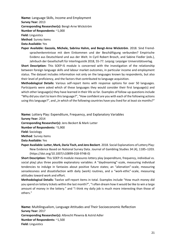**Name:** Language Skills, Income and Employment **Survey Year:** 2013 **Corresponding Researcher(s):** Bengt-Arne Wickström **Number of Respondents:** ~1,000 **Field:** Linguistics **Method**: Survey items

**Data Available:** Yes

**Paper Available: Gazzola, Michele, Sabrina Hahm, and Bengt-Arne Wickström**. 2018. Sind Fremdsprachenkenntnisse mit dem Einkommen und der Beschäftigung verbunden? Empirische Evidenz aus Deutschland und aus der Welt. In Cyril Robert Brosch, and Sabine Fiedler (eds.), [Jahrbuch der Gesellschaft für Interlinguistik 2018, 55-77.](http://www.interlinguistik-gil.de/wb/media/beihefte/JGI2018/JGI2018-gazzolahahmwickstroem.pdf) Leipzig: Leipziger Universitätsverlag.

**Short Description:** This SOEP-IS module is concerned with the investigation of the relationship between foreign language skills and labour market outcomes, in particular income and employment status. The dataset includes information not only on the languages known by respondents, but also their level of proficiency, and the factors that contributed to language acquisition.

**Methodological Details:** Various self-report items with response options for over 50 languages. Participants were asked which of these languages they would consider their first language(s) and which other language(s) they have learned in their life so far. Examples of follow-up questions include "Why did you start to learn this language?", "How confident are you with each of the following actions using this language?", and "In which of the following countries have you lived for at least six months?"

**Name:** Lottery Play: Expenditure, Frequency, and Explanatory Variables

**Survey Year:** 2014

**Corresponding Researcher(s):** Jens Beckert & Mark Lutter

**Number of Respondents:** ~5,900

**Field:** Sociology

**Method**: Survey items

**Data Available:** Yes

**Paper Available: Lutter, Mark, Daria Tisch, and Jens Beckert**. 2018. Social Explanations of Lottery Play: New Evidence Based on National Survey Data. Journal of Gambling Studies 34 (4), 1185–1203. [\(https://doi.org/10.1007/s10899-018-9748-0\)](https://doi.org/10.1007/s10899-018-9748-0)

**Short Description:** This SOEP-IS module measures lottery play (expenditure, frequency, individual vs. social play) plus three possible explanatory variables: A "daydreaming"-scale, measuring individual tendencies to indulge in fantasies about positive future states; an "alienation"-scale, measuring senselessness and dissatisfaction with daily (work) routines, and a "work-ethic"-scale, measuring attitudes toward work and effort.

**Methodological Details:** Twelve self-report items in total. Examples include "How much money did you spend on lottery tickets within the last month?", "I often dream how it would be like to win a large amount of money in the lottery." and "I think my daily job is much more interesting than those of others."

**Name:** Multilingualism, Language Attitudes and Their Socioeconomic Reflection **Survey Year:** 2017 **Corresponding Researcher(s):** Albrecht Plewnia & Astrid Adler **Number of Respondents:** ~1,500 **Field:** Linguistics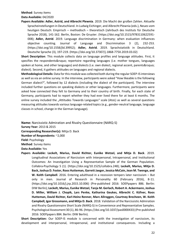#### **Method**: Survey items

#### **Data Available:** 04/2020

**Papers Available: Adler, Astrid, and Albrecht Plewnia**. 2019. [Die Macht der großen Zahlen. Aktuelle](https://ids-pub.bsz-bw.de/files/8511/Adler_Plewnia_Die_Macht_der_grossen_Zahlen_2019.pdf)  [Spracheinstellungen in Deutschland.](https://ids-pub.bsz-bw.de/files/8511/Adler_Plewnia_Die_Macht_der_grossen_Zahlen_2019.pdf) In Ludwig Eichinger, and Albrecht Plewnia (eds.), Neues vom heutigen Deutsch: Empirisch – methodisch – theoretisch (Jahrbuch des Instituts für Deutsche Sprache 2018), 141-162. Berlin, Boston: De Gruyter. [\(https://doi.org/10.1515/9783110622591-](https://doi.org/10.1515/9783110622591-008) [008\)](https://doi.org/10.1515/9783110622591-008); **Adler, Astrid**. 2019. Language discrimination in Germany: when evaluation influences objective counting. Journal of Language and Discrimination 3 (2), 232-253. [\(https://doi.org/10.1558/jld.39952\)](https://doi.org/10.1558/jld.39952); **Adler, Astrid**. 2019. Sprachstatistik in Deutschland. Deutsche Sprache (3), 197-219. [\(https://doi.org/10.37307/j.1868-775X.2019.03.02\)](https://doi.org/10.37307/j.1868-775X.2019.03.02)

**Short Description**: This module collects data on language profiles and language attitudes. First, it specifies the respondents' repertoire regarding languages (i.e. mother tongues, languages spoken at home, and other languages) and dialects (i.e. own dialect, regional accent, parents' dialect). Second, it gathers attitudes on languages and regional dialects.

**Methodological Details:** Data for this module was collected both during the regular SOEP-IS interviews as well as via an online survey. In the interview, participants were asked "How likeable is the following German dialect?", followed by 12 dialects (including the dialect of the participant). The interview included further questions on speaking dialects or other languages. Furthermore, participants were asked how connected they felt to Germany and to their country of birth. Finally, for each state of Germany, participants had to report whether they had ever lived there for at least 6 months. The online survey included the "Attitudes Towards Languages" scale (AtoL) as well as several questions measuring attitudes towards various language-related topics (e.g., gender-neutral language, language classes in school, change in the German language).

**Name:** Narcissistic Admiration and Rivalry Questionnaire (NARQ-S)

**Survey Year:** 2013 & 2015

**Corresponding Researcher(s):** Mitja D. Back

**Number of Respondents:** ~2,000

**Field:** Psychology

**Method**: Survey items

**Data Available:** Yes

**Papers Available: Leckelt, Marius, David Richter, Eunike Wetzel, and Mitja D. Back**. 2019. Longitudinal Associations of Narcissism with Interpersonal, Intrapersonal, and Institutional Outcomes: An Investigation Using a Representative Sample of the German Population. Collabra-Psychology 5 (1). [\(https://doi.org/10.1525/collabra.248\)](https://doi.org/10.1525/collabra.248); **Leckelt, Marius, Mitja D. Back, Joshua D. Foster, Roos Hutteman, Garrett Jaeger, Jessica McCain, Jean M. Twenge, and W. Keith Campbell**. 2016. Entering adulthood in a recession tempers later narcissism – But only in men. Journal of Research in Personality 60 (February 2016), 8-11. [\(https://doi.org/10.1016/j.jrp.2015.10.006\)](https://doi.org/10.1016/j.jrp.2015.10.006) (Pre-published 2016: [SOEPpapers 886.](https://www.diw.de/documents/publikationen/73/diw_01.c.550212.de/diw_sp0886.pdf) Berlin: DIW Berlin); **Leckelt, Marius, Eunike Wetzel, Tanja M. Gerlach, Robert A. Ackermann, Joshua D. Miller, William J. Chopik, Lars Penke, Katharina Geukes, Albrecht C. Küfner, Roos Hutteman, David Richter, Karl-Heinz Renner, Marc Allroggen, Courtney Brecheen, W. Keith Campbell, Igor Grossmann, and Mitja D. Back**. 2018. Validation of the Narcissistic Admiration and Rivalry Questionnaire Short Scale (NARQ-S) in Convenience and Representative Samples. Psychological Assessment 30 (1), 86-96. [\(https://doi.org/10.1037/pas0000433\)](https://doi.org/10.1037/pas0000433) (Pre-published 2016: [SOEPpapers 884.](https://www.diw.de/documents/publikationen/73/diw_01.c.550208.de/diw_sp0884.pdf) Berlin: DIW Berlin).

**Short Description:** Our SOEP-IS module is concerned with the investigation of narcissism, its development and interpersonal, intrapersonal, and institutional consequences. Including a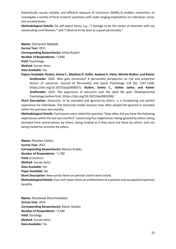theoretically sound, reliable, and efficient measure of narcissism (NARQ-S) enables researchers to investigate a variety of focal research questions with wide-ranging implications on individual, social, and societal levels.

**Methodological Details:** Six self-report items, e.g., "I manage to be the center of attention with my outstanding contributions." and "I deserve to be seen as a great personality."

**Name:** Ostracism Module **Survey Year:** 2015 **Corresponding Researcher(s):** Selma Rudert **Number of Respondents:** ~2,800 **Field:** Psychology **Method**: Survey items **Data Available:** Yes

**Papers Available: Rudert, Selma C., Matthias D. Keller, Andrew H. Hales, Mirella Walker, and Rainer Greifeneder**. 2020. Who gets ostracized? A personality perspective on risk and protective factors of ostracism. Journal of Personality and Social Psychology 118 (6), 1247-1268. [\(https://doi.org/10.1037/pspp000027\)](https://doi.org/10.1037/pspp000027); **Rudert, Selma C., Stefan Janke, and Rainer Greifeneder**. 2020. The experience of ostracism over the adult life span. Developmental Psychology (online first). [\(https://doi.org/10.1037/dev0001096\)](https://doi.org/10.1037/dev0001096)

**Short Description:** Ostracism, to be excluded and ignored by others, is a threatening and painful experience for individuals. The Ostracism model assesses how often people felt ignored or excluded within the previous two months.

**Methodological Details:** Participants were asked the question "How often did you have the following experiences within the last two months?" concerning four experiences: being ignored by others, being excluded from conversations by others, being treated as if they were not there by others, and not being invited for activities by others.

**Name:** Pension Claims **Survey Year:** 2011 **Corresponding Researcher(s):** Markus Grabka **Number of Respondents:** ~1,700 **Field:** Economics **Method**: Survey items **Data Available:** Yes **Paper Available:** No **Short Description:** New survey items on pension claims were tested. **Methodological Details:** Four self-report items on entitlements to a pension and occupational pension benefits.

**Name:** Perceived Discrimination **Survey Year:** 2016 **Corresponding Researcher(s):** Rainer Stocker **Number of Respondents:** ~2,500 **Field:** Sociology **Method**: Survey items **Data Available:** Yes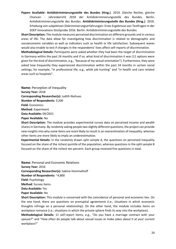**Papers Available: Antidiskriminierungsstelle des Bundes (Hrsg.)**. 2019. Gleiche Rechte, gleiche Chancen - [Jahresbericht 2018 der Antidiskriminierungsstelle des Bundes.](https://www.antidiskriminierungsstelle.de/SharedDocs/Downloads/DE/publikationen/Jahresberichte/2018.pdf?__blob=publicationFile&v=8) Berlin: Antidiskriminierungsstelle des Bundes. **Antidiskriminierungsstelle des Bundes (Hrsg.)**. 2018. [Erhebung von subjektiven Diskriminierungserfahrungen: Erste Ergebnisse von Testfragen in der](https://www.antidiskriminierungsstelle.de/SharedDocs/Downloads/DE/publikationen/Expertisen/Erhebung_von_subjektiven_DiskrErfahrungen_SOEP_IS.pdf?__blob=publicationFile&v=8)  [SOEP Innovations-Stichprobe 2016.](https://www.antidiskriminierungsstelle.de/SharedDocs/Downloads/DE/publikationen/Expertisen/Erhebung_von_subjektiven_DiskrErfahrungen_SOEP_IS.pdf?__blob=publicationFile&v=8) Berlin: Antidiskriminierungsstelle des Bundes.

**Short Description:** The module measures perceived discrimination on different grounds and in various areas of life. The data allow for investigating how discrimination is related to demographic and socioeconomic variables as well as indicators such as health or life satisfaction. Subsequent waves would also enable to test if changes in the respondents' lives affect self-reports of discrimination.

**Methodological Details:** Participants were asked whether they had been the target of discrimination in Germany within the past 24 months and if so, what kind of discrimination it was (11 options were given for the kind of discrimination, e.g., "because of my sexual orientation"). Furthermore, they were asked how frequently they experienced discrimination within the past 24 months in certain social settings, for example, "in professional life, e.g., while job hunting" and "in health and care related areas such as hospitals".

**Name:** Perception of Inequality **Survey Year:** 2018 **Corresponding Researcher(s):** Judith Niehues **Number of Respondents:** 3,200 **Field:** Economics **Method**: Experiment **Data Available:** 04/2021

**Paper Available:** No

**Short Description:** The module provides experimental survey data on perceived income and wealth shares in Germany. By randomly asking people two slightly different questions, the project can provide new insights into why some items are more likely to result in an overestimation of inequality, whereas other items are more likely to imply an underestimation.

**Experimental Details:** In the randomly drawn split sample A, the questions on perceived inequality focused on the share of the richest quintile of the population, whereas questions in the split sample B focused on the share of the richest ten percent. Each group received five questions in total.

**Name:** Personal and Economic Relations **Survey Year:** 2016 **Corresponding Researcher(s):** Sabine Hommelhoff **Number of Respondents:** ~4,800 **Field:** Psychology **Method**: Survey items **Data Available:** Yes **Paper Available:** No

**Short Description:** This module is concerned with the coincidence of personal and economic ties. On the one hand, there are questions on prenuptial agreements (i.e., situations in which economic thoughts infringe on a personal relationship). On the other hand, the module includes items on workplace romance (i.e., situations in which the private sphere finds its way into the workplace).

**Methodological Details:** 11 self-report items, e.g., "Do you have a marriage contract with your spouse?" and "How often do people talk about sexual issues or make jokes about it at your current workplace?"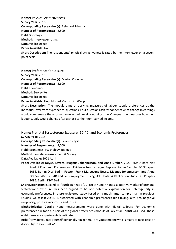**Name:** Physical Attractiveness **Survey Year:** 2016 **Corresponding Researcher(s):** Reinhard Schunck **Number of Respondents:** ~2,800 **Field:** Sociology **Method**: Interviewer rating **Data Available:** Yes **Paper Available:** No **Short Description:** The respondents' physical attractiveness is rated by the interviewer on a sevenpoint scale.

**Name:** Preference for Leisure **Survey Year:** 2015 **Corresponding Researcher(s):** Marion Collewet **Number of Respondents:** ~2,600 **Field:** Economics **Method**: Survey items **Data Available:** Yes **Paper Available:** [Unpublished Manuscript \(Dropbox\)](https://www.dropbox.com/s/xjp0r09dc3clv6i/Collewet%20-%20Income-leisure%20preferences.pdf?dl=0)

**Short Description:** The module aims at deriving measures of labour supply preferences at the individual level from hypothetical questions. Four questions ask respondents what change in earnings would compensate them for a change in their weekly working time. One question measures how their labour supply would change after a shock to their non-earned income.

**Name:** Prenatal Testosterone Exposure (2D:4D) and Economic Preferences

**Survey Year:** 2018

**Corresponding Researcher(s):** Levent Neyse

**Number of Respondents:** ≈4,000

**Field:** Economics, Psychology, Biology

**Method**: Somatic measurement & Survey

**Data Available:** 2021 April

**Paper Available: Neyse, Levent, Magnus Johannesson, and Anna Dreber**. 2020. 2D:4D Does Not Predict Economic Preferences : Evidence from a Large, Representative Sample. [SOEPpapers](http://www.diw.de/documents/publikationen/73/diw_01.c.791001.de/diw_sp1086.pdf)  [1086.](http://www.diw.de/documents/publikationen/73/diw_01.c.791001.de/diw_sp1086.pdf) Berlin: DIW Berlin; **Fossen, Frank M., Levent Neyse, Magnus Johannesson, and Anna Dreber**. 2020. 2D:4D and Self-Employment Using SOEP Data: A Replication Study. [SOEPpapers](http://www.diw.de/documents/publikationen/73/diw_01.c.790949.de/diw_sp1085.pdf)  [1085.](http://www.diw.de/documents/publikationen/73/diw_01.c.790949.de/diw_sp1085.pdf) Berlin: DIW Berlin.

**Short Description:** Second-to-fourth digit ratio (2D:4D) of human hands, a putative marker of prenatal testosterone exposure, has been argued to be one potential explanation for heterogeneity in economic preferences. In a pre-registered study based on a much larger sample than in previous studies, we test if 2D:4D is associated with economic preferences (risk taking, altruism, negative reciprocity, positive reciprocity and trust).

**Methodological Details:** Hand measurements were done with digital calipers. For economic preferences elicitation, a part of the global preferences module of Falk et al. (2018) was used. These eight items are experimentally validated.

**Risk:** "How do you rate yourself personally? In general, are you someone who is ready to take risks or do you try to avoid risks?"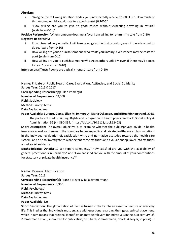#### **Altruism:**

- i. "Imagine the following situation: Today you unexpectedly received 1,000 Euro. How much of this amount would you donate to a good cause? [0,1000]"
- ii. "How willing are you to give to good causes without expecting anything in return? (scale from 0-10)"

**Positive Reciprocity:** "When someone does me a favor I am willing to return it." (scale from 0-10) **Negative Reciprocity:**

- i. If I am treated very unjustly, I will take revenge at the first occasion, even if there is a cost to do so. (scale from 0-10)
- ii. How willing are you to punish someone who treats you unfairly, even if there may be costs for you? (scale from 0-10)
- iii. How willing are you to punish someone who treats others unfairly, even if there may be costs for you? (scale from 0-10)

**Interpersonal Trust:** People are basically honest (scale from 0-10)

**Name:** Private or Public Health Care: Evaluation, Attitudes, and Social Solidarity

**Survey Year:** 2015 & 2017

**Corresponding Researcher(s):** Ellen Immergut

**Number of Respondents:** ~3,000

**Field:** Sociology

**Method**: Survey items

**Data Available:** Yes

**Paper Available: Burlacu, Diana, Ellen M. Immergut, Maria Oskarson, and Björn Rönnerstrand**. 2018. The politics of credit claiming: Rights and recognition in health policy feedback. Social Policy & Administration 52 (4), 880-894. [\(https://doi.org/10.1111/spol.12403\)](https://doi.org/10.1111/spol.12403)

**Short Description:** The overall objective is to examine whether the public/private divide in health insurance as well as changes in the boundary between public and private health care explain variations in the individual evaluation of, satisfaction with, and normative attitudes towards the health care system; and also to investigate to what extent these attitudes and evaluations spillover into attitudes about social solidarity.

**Methodological Details:** 12 self-report items, e.g., "How satisfied are you with the availability of general practitioners in Germany?" and "How satisfied are you with the amount of your contributions for statutory or private health insurance?"

**Name:** Regional Identification **Survey Year:** 2013 **Corresponding Researcher(s):** Franz J. Neyer & Julia Zimmermann **Number of Respondents:** 3,300 **Field:** Psychology **Method**: Survey items **Data Available:** Yes **Paper Available:** No

**Short Description:** The globalization of life has turned mobility into an essential feature of everyday life. This implies that individuals must engage with questions regarding their geographical placement, which in turn means that regional identification may be relevant for individuals in the 21st century (cf. Zimmermann et al. , submitted for publication; Schubach, Zimmermann, Noack, & Neyer, in press). It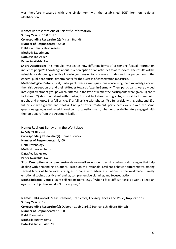was therefore measured with one single item with the established SOEP item on regional identification.

**Name:** Representations of Scientific Information **Survey Year:** 2016 & 2017 **Corresponding Researcher(s):** Miriam Brandt **Number of Respondents:** ~2,800 **Field:** Communication research **Method**: Experiment

**Data Available:** Yes

**Paper Available:** No

**Short Description:** This module investigates how different forms of presenting factual information influence people's knowledge about, risk perception of an attitudes towards foxes. The results will be valuable for designing effective knowledge transfer tools, since attitudes and risk perception in the general public are crucial determinants for the success of conservation measures.

**Methodological Details:** First, participants were asked questions concerning their knowledge about, their risk perception of and their attitudes towards foxes in Germany. Then, participants were divided into eight treatment groups which differed in the type of leaflet the participants were given: 1) short fact sheet, 2) short fact sheet with photos, 3) short fact sheet with graphs, 4) short fact sheet with graphs and photos, 5) a full article, 6) a full article with photos, 7) a full article with graphs, and 8) a full article with graphs and photos. One year after treatment, participants were asked the same questions again, as well as additional control questions (e.g., whether they deliberately engaged with the topic apart from the treatment leaflet).

**Name:** Resilient Behavior in the Workplace **Survey Year:** 2016 **Corresponding Researcher(s):** Roman Soucek **Number of Respondents:** ~1,400 **Field:** Psychology **Method**: Survey items **Data Available:** Yes

**Paper Available:** No

**Short Description:** A comprehensive view on resilience should describe behavioral strategies that help dealing with demanding situations. Based on this rationale, resilient behavior differentiates among several facets of behavioral strategies to cope with adverse situations in the workplace, namely emotional coping, positive reframing, comprehensive planning, and focused action.

**Methodological Details:** Eight self-report items, e.g., "When I face difficult tasks at work, I keep an eye on my objective and don't lose my way."

**Name:** Self-Control: Measurement, Predictors, Consequences and Policy Implications **Survey Year:** 2017 **Corresponding Researcher(s):** Deborah Cobb-Clark & Hannah Schildberg-Hörisch **Number of Respondents:** ~2,000 **Field:** Economics **Method**: Survey items **Data Available:** 04/2020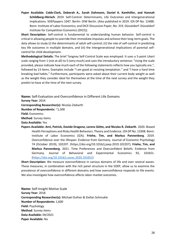**Paper Available: Cobb-Clark, Deborah A., Sarah Dahmann, Daniel A. Kamhöfer, and Hannah Schildberg-Hörisch**. 2019. Self-Control: Determinants, Life Outcomes and Intergenerational Implications. [SOEPpapers 1047.](http://www.diw.de/documents/publikationen/73/diw_01.c.672708.de/diw_sp1047.pdf) Berlin: DIW Berlin. (Also published in 2019: IZA DP No. 12488. Bonn: Institute of Labor Economics; and DICE Discussion Paper, No. 319. Düsseldorf: Düsseldorf Institute for Competition Economics (DICE)).

**Short Description:** Self-control is fundamental to understanding human behavior. Self-control is critical in allowing people to override their immediate impulses and achieve their long-term goals. The data allows to study (i) the determinants of adult self-control; (ii) the role of self-control in predicting key life outcomes in multiple domains, and (iii) the intergenerational implications of parental selfcontrol for child development.

**Methodological Details:** The brief Tangney Self-Control Scale was employed. It uses a 5-point Likert scale ranging from 1 (not at all) to 5 (very much) and uses the introductory sentence: "Using the scale provided, please indicate how much each of the following statements reflects how you typically are.", followed by 13 items. Examples include "I am good at resisting temptation." and "I have a hard time breaking bad habits." Furthermore, participants were asked about their current body weight as well as the weight they consider ideal for themselves at the time of the next survey and the weight they predict to have at the time of the next survey.

**Name:** Self-Evaluation and Overconfidence in Different Life Domains

**Survey Year:** 2014

**Corresponding Researcher(s):** Nicolas Ziebarth

**Number of Respondents:** ~1,500

**Field:** Economics

**Method**: Survey items

**Data Available:** Yes

**Papers Available: Arni, Patrick, Davide Dragone, Lorenz Götte, and Nicolas R. Ziebarth**. 2020. Biased Health Perceptions and Risky Health Behaviors: Theory and Evidence. IZA DP No. 13308. Bonn: Institute of Labor Economics (IZA); **Friehe, Tim, and Markus Pannenberg**. 2019. Overconfidence over the lifespan: Evidence from Germany. Journal of Economic Psychology 74 (October 2019), 102207. [\(https://doi.org/10.1016/j.joep.2019.102207\)](https://doi.org/10.1016/j.joep.2019.102207); **Friehe, Tim, and Markus Pannenberg**. 2021. Time Preferences and Overconfident Beliefs: Evidence from Germany. Journal of Behavioral and Experimental Economics 92, 101651. (https://doi.org/10.1016/j.socec.2020.101651)

**Short Description:** We measure overconfidence in various domains of life and over several waves. These measures, in combination with the rich panel structure in the SOEP, allow us to examine the prevalence of overconfidence in different domains and how overconfidence responds to life events. We also investigate how overconfidence affects labor-market outcomes.

**Name:** Self-Insight Motive Scale **Survey Year:** 2018 **Corresponding Researcher(s):** Michael Dufner & Stefan Schmukle **Number of Respondents:** 1,600 **Field:** Psychology **Method**: Survey items **Data Available:** 04/2021 **Paper Available:** No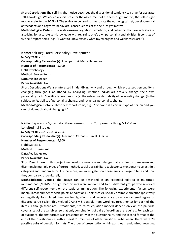**Short Description:** The self-insight motive describes the dispositional tendency to strive for accurate self-knowledge. We added a short scale for the assessment of the self-insight motive, the self-insight motive scale, to the SOEP-IS. The scale can be used to investigate the nomological net, developmental antecedents and cogntive-behavioral consequences of the self-insight motive.

**Methodological Details:** The scale assesses cognitions, emotions, and behaviors that are indicative of a striving for accurate self-knowledge with regard to one's own personality and abilities. It consists of five self-report items (e.g., "I want to know exactly what my strengths and weaknesses are.").

**Name:** Self-Regulated Personality Development **Survey Year:** 2015 **Corresponding Researcher(s):** Jule Specht & Marie Hennecke **Number of Respondents:** ~5,100 **Field:** Psychology **Method**: Survey items **Data Available:** Yes

**Paper Available:** No

**Short Description:** We are interested in identifying why and through which processes personality is changing throughout adulthood by analyzing whether individuals actively change their own personality traits. Specifically, we measure (a) the subjective desirability of personality change, (b) the subjective feasibility of personality change, and (c) actual personality change.

**Methodological Details:** Three self-report items, e.g., "Everyone is a certain type of person and you cannot do much about changing it."

**Name:** Separating Systematic Measurement Error Components Using MTMM in

Longitudinal Studies

**Survey Year:** 2014, 2015, & 2016

**Corresponding Researcher(s):** Alexandru Cernat & Daniel Oberski

**Number of Respondents:** ~5,300

**Field:** Statistics

**Method**: Experiment

**Data Available:** Yes

**Paper Available:** No

**Short Description:** In this project we develop a new research design that enables us to measure and disentangle multiple types of error: method, social desirability, acquiescence (tendency to select first category) and random error. Furthermore, we investigate how these errors change in time and how they compare cross-culturally.

**Methodological Details:** The design can be described as an extended split-ballot multitraitmultimethod (MTMM) design. Participants were randomized to 56 different groups who received different self-report items on the topic of immigration. The following experimental factors were manipulated: number of scale points (2 point or 11 point scale), socially desirable direction (positively or negatively formulated item on immigration), and acquiescence direction (agree-disagree or disagree-agree scale). This yielded  $2 \times 2 \times 2 = 8$  possible item wordings (treatments) for each of the items. Although there are 8 treatments, structural equation models depend only on the pairwise covariances of the variables, so that only combinations of pairs of wordings are required. For each pair of questions, the first format was presented early in the questionnaire, and the second format at the end of the questionnaire, with at least 20 minutes of other questions in-between. There were 28 possible pairs of question formats. The order of presentation within pairs was randomized, resulting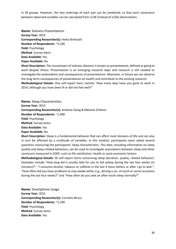in 56 groups. However, the two orderings of each pair can be combined, so that each covariance between observed variables can be calculated from *n*/28 (instead of *n*/56) observations.

**Name:** Sickness Presenteeism **Survey Year:** 2015 **Corresponding Researcher(s):** Heiko Breitsohl **Number of Respondents:** ~5,100 **Field:** Psychology **Method**: Survey items **Data Available:** Yes **Paper Available:** No

**Short Description:** The counterpart of sickness absence is known as presenteeism, defined as going to work despite illness. Presenteeism is an emerging research topic and research is still needed to investigate the antecedents and consequences of presenteeism. Moreover, in future we can observe the long-term consequences of presenteeism on health and contribute to the existing research.

**Methodological Details:** One self-report item, namely "How many days have you gone to work in 2014, although you have been ill or did not feel well?"

**Name:** Sleep Characteristics **Survey Year:** 2013 **Corresponding Researcher(s):** Andreas Stang & Melanie Zinkhan **Number of Respondents:** ~1,400 **Field:** Psychology **Method**: Survey items **Data Available:** Yes

**Paper Available:** No

**Short Description:** Sleep is a fundamental behavior that can affect most domains of life and can also in turn be affected by a multitude of variables. In this module, participants were asked several questions measuring the participants' sleep characteristics. This data, including information on sleep quality and sleep-related behaviors, can be used to investigate associations between sleep and other constructs measured in SOEP, such as life satisfaction, health or socio-economic factors.

**Methodological Details:** 50 self-report items concerning sleep (duration, quality, related behavior). Examples include "How long did it usually take for you to fall asleep during the last four weeks (in minutes)?", "I consume alcohol, tobacco or caffeine in the last 4 hours before or after I go to bed.", "How often did you have problems to stay awake while, e.g., driving a car, at lunch or social occasions during the last four weeks?" and "How often do you take an after-lunch sleep normally?"

**Name:** Smartphone Usage **Survey Year:** 2015 **Corresponding Researcher(s):** Cornelia Wrzus **Number of Respondents:** ~5,100 **Field:** Psychology **Method**: Survey items **Data Available:** Yes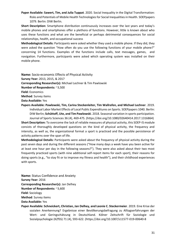**Paper Available: Sawert, Tim, and Julia Tuppat**. 2020. Social Inequality in the Digital Transformation: Risks and Potentials of Mobile Health Technologies for Social Inequalities in Health[. SOEPpapers](http://www.diw.de/documents/publikationen/73/diw_01.c.788774.de/diw_sp1079.pdf)  [1079.](http://www.diw.de/documents/publikationen/73/diw_01.c.788774.de/diw_sp1079.pdf) Berlin: DIW Berlin.

**Short Description:** Smartphone distribution continuously increases over the last years and today's mobile phones and smartphones offer a plethora of functions. However, little is known about who uses these functions and what are the beneficial or perhaps detrimental consequences for social relationships, health, and occupational success

**Methodological Details:** Participants were asked whether they used a mobile phone. If they did, they were asked the question "How often do you use the following functions of your mobile phone?" concerning 14 functions. Examples of the functions include calls, text messages, games, and navigation. Furthermore, participants were asked which operating system was installed on their mobile phone.

**Name:** Socio-economic Effects of Physical Activity **Survey Year:** 2013, 2015, & 2017 **Corresponding Researcher(s):** Michael Lechner & Tim Pawlowski **Number of Respondents:** ~3,500 **Field:** Economics **Method**: Survey items **Data Available:** Yes

**Papers Available: Pawlowski, Tim, Carina Steckenleiter, Tim Wallrafen, and Michael Lechner**. 2019. Individual Labor Market Effects of Local Public Expenditures on Sports. SOEPpapers 1040. Berlin: DIW Berlin; **Schüttoff, Ute, and Tim Pawlowski**. 2018. Seasonal variation in sports participation. Journal of Sports Sciences 36 (4), 469-475. (https://doi.org/10.1080/02640414.2017.1316864)

**Short Description:** To overcome the lack of reliable measures of physical activity, this SOEP-IS module consists of thoroughly developed questions on the kind of physical activity, the frequency and intensity, as well as, the organizational format a sport is practiced and the possible persistence of activity patterns over the span of life.

**Methodological Details:** Participants were asked about the frequency of physical activity during the past seven days and during the different seasons ("How many days a week have you been active for at least one hour per day in the following seasons?"). They were also asked about their two most frequently practiced sports (with nine additional self-report items for each sport), their reasons for doing sports (e.g., "to stay fit or to improve my fitness and health"), and their childhood experiences with sports.

**Name:** Status Confidence and Anxiety **Survey Year:** 2016 **Corresponding Researcher(s):** Jan Delhey **Number of Respondents:** ~3,600 **Field:** Sociology **Method**: Survey items **Data Available:** Yes

**Paper Available: Schneickert, Christian, Jan Delhey, and Leonie C. Steckermeier**. 2019. Eine Krise der sozialen Anerkennung? Ergebnisse einer Bevölkerungsbefragung zu Alltagserfahrungen der Wert- und Geringschätzung in Deutschland. Kölner Zeitschrift für Soziologie und Sozialpsychologie (KZfSS) 71 (4), 593-622. [\(https://doi.org/10.1007/s11577-019-00640-8](https://doi.org/10.1007/s11577-019-00640-8)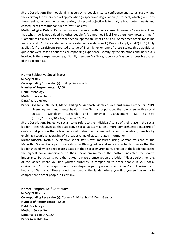**Short Description:** The module aims at surveying people's status confidence and status anxiety, and the everyday life experiences of appreciation (respect) and degradation (disrespect) which give rise to these feelings of confidence and anxiety. A second objective is to analyze both determinants and consequences of status confidence/status anxiety.

**Methodological Details:** Participants were presented with four statements, namely "Sometimes I feel that what I do is not valued by other people.", "Sometimes I feel like others look down on me.", "Sometimes I experience that other people appreciate what I do." and "Sometimes others make me feel successful." These statements were rated on a scale from 1 ("Does not apply at all") to 7 ("Fully applies"). If a participant reported a value of 3 or higher on one of these scales, three additional questions were asked about the corresponding experience, specifying the situations and individuals involved in these experiences (e.g., "family members" or "boss, supervisor") as well as possible causes of the experiences.

**Name:** Subjective Social Status **Survey Year:** 2016 **Corresponding Researcher(s):** Philipp Süssenbach **Number of Respondents:** ~2,200 **Field:** Psychology **Method**: Survey items **Data Available:** Yes

**Papers Available: Neubert, Marie, Philipp Süssenbach, Winfried Rief, and Frank Euteneuer**. 2019. Unemployment and mental health in the German population: the role of subjective social status. Psychology Research and Behavior Management 12, 557-564. [\(https://doi.org/10.2147/prbm.s207971\)](https://doi.org/10.2147/prbm.s207971)

**Short Description.** Subjective social status refers to the individuals' sense of their place in the social ladder. Research suggests that subjective social status may be a more comprehensive measure of one's social position than objective social status (i.e. income, education, occupation), possibly by enabling a cognitive averaging of a broader range of status-related information.

**Methodological Details:** Subjective social status was measured using German versions of the MacArthur Scales. Participants were shown a 10-rung ladder and were instructed to imagine that the ladder showed where people are situated in their social environment. The top of the ladder indicated the highest social importance to their social environment, the bottom indicated the lowest importance. Participants were then asked to place themselves on the ladder: "Please select the rung of the ladder where you find yourself currently in comparison to other people in your social environment." The same question was asked again regarding not only participants' social environment but all of Germany: "Please select the rung of the ladder where you find yourself currently in comparison to other people in Germany."

**Name:** Temporal Self-Continuity **Survey Year:** 2017 **Corresponding Researcher(s):** Corinna E. Löckenhoff & Denis Gerstorf **Number of Respondents:** ~1,800 **Field:** Psychology **Method**: Survey items **Data Available:** 04/2020 **Paper Available:** No